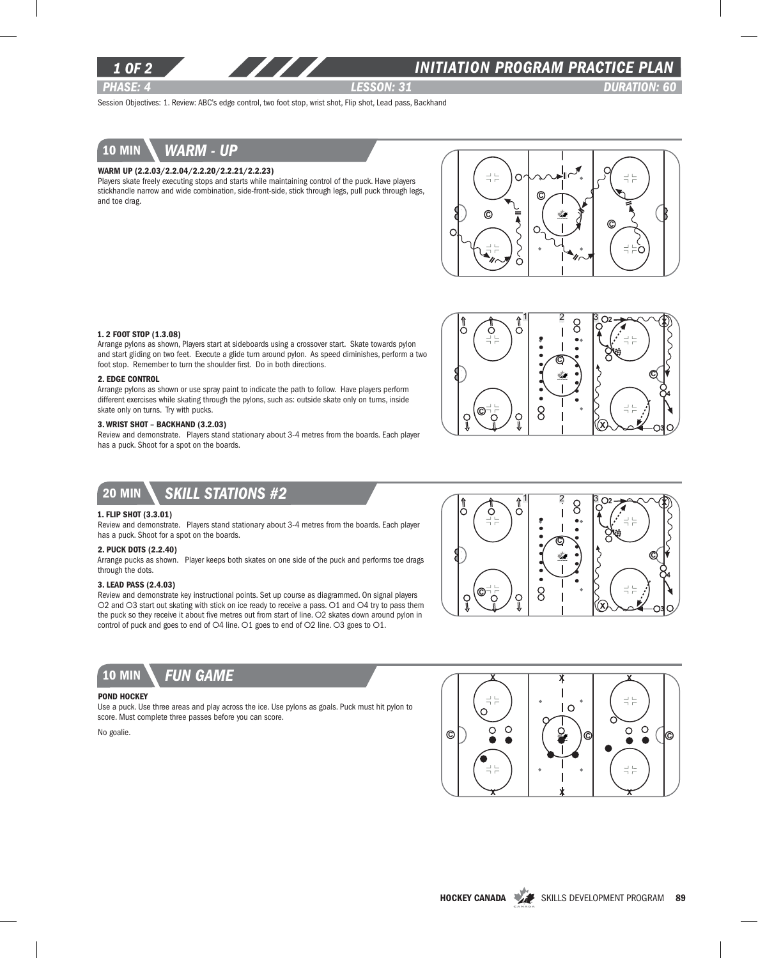

## *INITIATION program PRACTICE PLAN*

*PHASE: 4 lesson: 31 DURATION: 60* 

Session Objectives: 1. Review: ABC's edge control, two foot stop, wrist shot, Flip shot, Lead pass, Backhand



#### Warm up (2.2.03/2.2.04/2.2.20/2.2.21/2.2.23)

Players skate freely executing stops and starts while maintaining control of the puck. Have players stickhandle narrow and wide combination, side-front-side, stick through legs, pull puck through legs, and toe drag.



#### 1. 2 Foot Stop (1.3.08)

Arrange pylons as shown, Players start at sideboards using a crossover start. Skate towards pylon and start gliding on two feet. Execute a glide turn around pylon. As speed diminishes, perform a two foot stop. Remember to turn the shoulder first. Do in both directions.

#### 2. Edge Control

Arrange pylons as shown or use spray paint to indicate the path to follow. Have players perform different exercises while skating through the pylons, such as: outside skate only on turns, inside skate only on turns. Try with pucks.

### 3. Wrist Shot – Backhand (3.2.03)

Review and demonstrate. Players stand stationary about 3-4 metres from the boards. Each player has a puck. Shoot for a spot on the boards.



### 20 min *Skill stations #2*

#### 1. Flip Shot (3.3.01)

Review and demonstrate. Players stand stationary about 3-4 metres from the boards. Each player has a puck. Shoot for a spot on the boards.

### 2. PUCK DOTS (2.2.40)

Arrange pucks as shown. Player keeps both skates on one side of the puck and performs toe drags through the dots.

### 3. Lead Pass (2.4.03)

Review and demonstrate key instructional points. Set up course as diagrammed. On signal players O2 and O3 start out skating with stick on ice ready to receive a pass. O1 and O4 try to pass them the puck so they receive it about five metres out from start of line. O2 skates down around pylon in control of puck and goes to end of O4 line. O1 goes to end of O2 line. O3 goes to O1.



## 10 min *Fun game*

#### POND HOCKEY

Use a puck. Use three areas and play across the ice. Use pylons as goals. Puck must hit pylon to score. Must complete three passes before you can score.

No goalie.